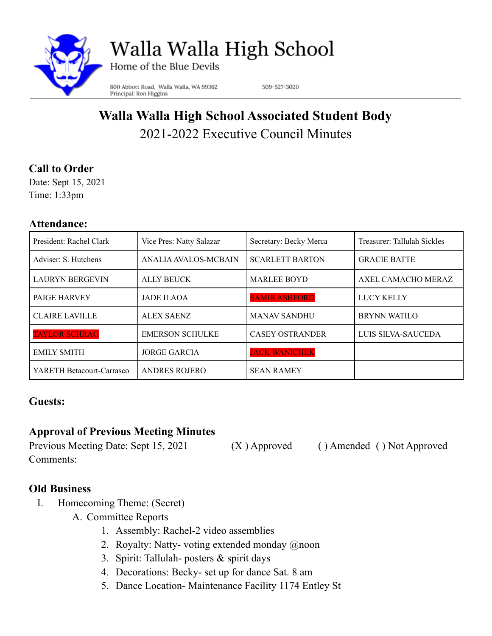

Walla Walla High School

Home of the Blue Devils

800 Abbott Road, Walla Walla, WA 99362 Principal: Ron Higgins

509-527-3020

# **Walla Walla High School Associated Student Body** 2021-2022 Executive Council Minutes

## **Call to Order**

Date: Sept 15, 2021 Time: 1:33pm

#### **Attendance:**

| President: Rachel Clark   | Vice Pres: Natty Salazar | Secretary: Becky Merca | Treasurer: Tallulah Sickles |
|---------------------------|--------------------------|------------------------|-----------------------------|
| Adviser: S. Hutchens      | ANALIA AVALOS-MCBAIN     | <b>SCARLETT BARTON</b> | <b>GRACIE BATTE</b>         |
| <b>LAURYN BERGEVIN</b>    | <b>ALLY BEUCK</b>        | <b>MARLEE BOYD</b>     | AXEL CAMACHO MERAZ          |
| PAIGE HARVEY              | <b>JADE ILAOA</b>        | <b>SAMIR ASHFORD</b>   | <b>LUCY KELLY</b>           |
| <b>CLAIRE LAVILLE</b>     | ALEX SAENZ               | <b>MANAV SANDHU</b>    | <b>BRYNN WATILO</b>         |
| <b>TAYLOR SCHRAG</b>      | <b>EMERSON SCHULKE</b>   | <b>CASEY OSTRANDER</b> | LUIS SILVA-SAUCEDA          |
| <b>EMILY SMITH</b>        | <b>JORGE GARCIA</b>      | <b>JACK WANICHEK</b>   |                             |
| YARETH Betacourt-Carrasco | <b>ANDRES ROJERO</b>     | <b>SEAN RAMEY</b>      |                             |

### **Guests:**

# **Approval of Previous Meeting Minutes**

Previous Meeting Date: Sept 15, 2021 (X ) Approved ( ) Amended ( ) Not Approved Comments:

### **Old Business**

- I. Homecoming Theme: (Secret)
	- A. Committee Reports
		- 1. Assembly: Rachel-2 video assemblies
		- 2. Royalty: Natty- voting extended monday @noon
		- 3. Spirit: Tallulah- posters & spirit days
		- 4. Decorations: Becky- set up for dance Sat. 8 am
		- 5. Dance Location- Maintenance Facility 1174 Entley St